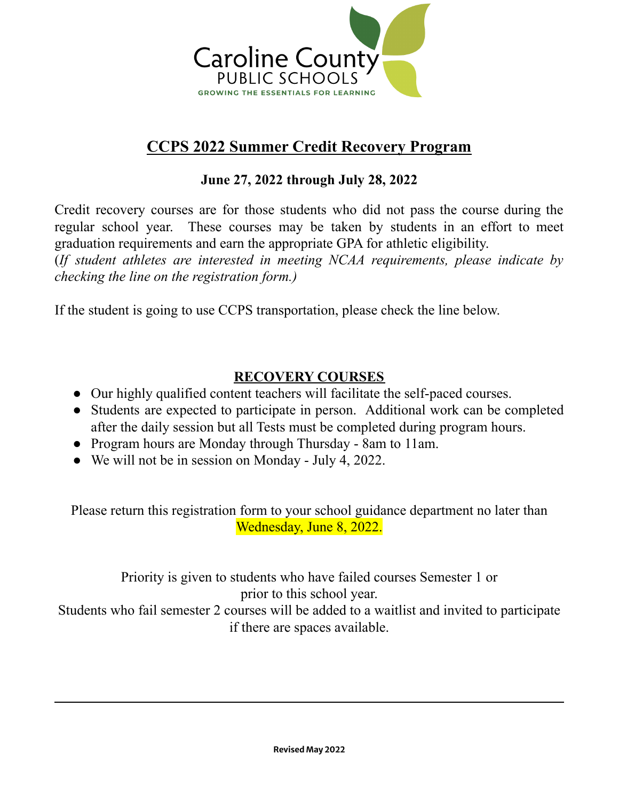

# **CCPS 2022 Summer Credit Recovery Program**

## **June 27, 2022 through July 28, 2022**

Credit recovery courses are for those students who did not pass the course during the regular school year. These courses may be taken by students in an effort to meet graduation requirements and earn the appropriate GPA for athletic eligibility.

(*If student athletes are interested in meeting NCAA requirements, please indicate by checking the line on the registration form.)*

If the student is going to use CCPS transportation, please check the line below.

### **RECOVERY COURSES**

- Our highly qualified content teachers will facilitate the self-paced courses.
- Students are expected to participate in person. Additional work can be completed after the daily session but all Tests must be completed during program hours.
- Program hours are Monday through Thursday 8am to 11am.
- We will not be in session on Monday July 4, 2022.

Please return this registration form to your school guidance department no later than Wednesday, June 8, 2022.

Priority is given to students who have failed courses Semester 1 or prior to this school year. Students who fail semester 2 courses will be added to a waitlist and invited to participate if there are spaces available.